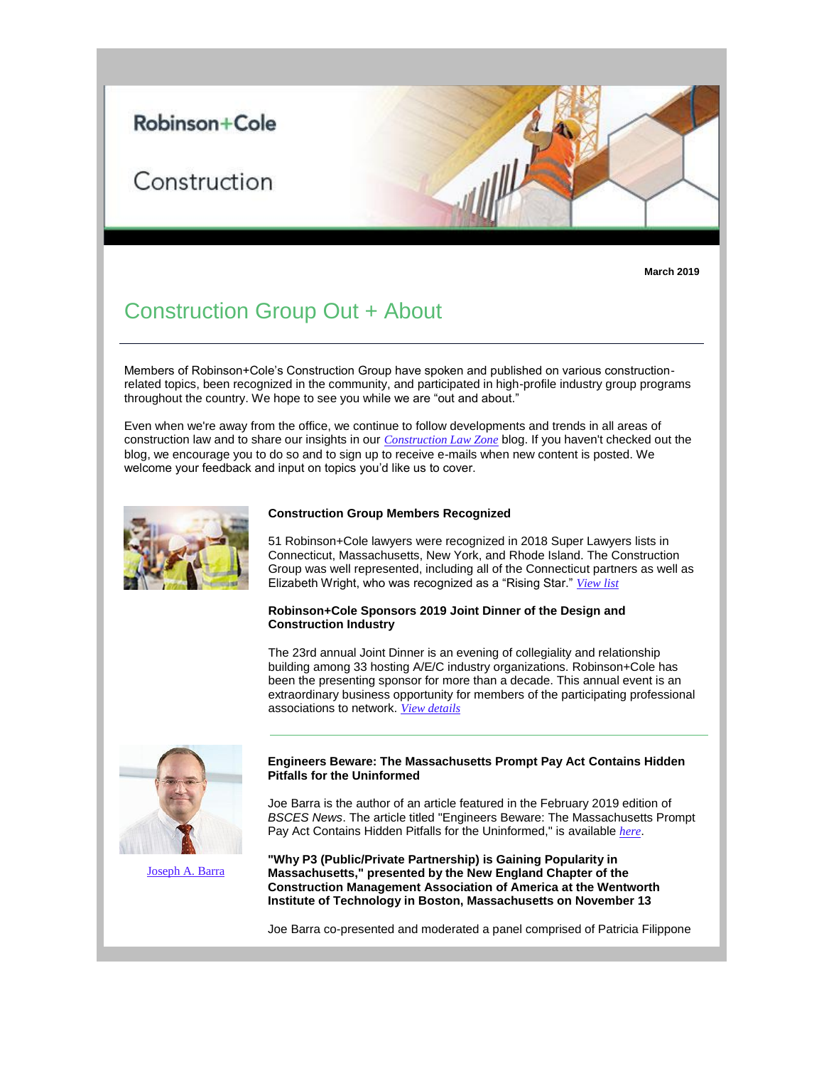# Robinson+Cole

# Construction

**March 2019**

# Construction Group Out + About

Members of Robinson+Cole's Construction Group have spoken and published on various constructionrelated topics, been recognized in the community, and participated in high-profile industry group programs throughout the country. We hope to see you while we are "out and about."

Even when we're away from the office, we continue to follow developments and trends in all areas of construction law and to share our insights in our *[Construction Law Zone](https://protect-us.mimecast.com/s/ambFCR6Xy7fvpGL6FPLL1c?domain=r20.rs6.net)* blog. If you haven't checked out the blog, we encourage you to do so and to sign up to receive e-mails when new content is posted. We welcome your feedback and input on topics you'd like us to cover.



#### **Construction Group Members Recognized**

51 Robinson+Cole lawyers were recognized in 2018 Super Lawyers lists in Connecticut, Massachusetts, New York, and Rhode Island. The Construction Group was well represented, including all of the Connecticut partners as well as Elizabeth Wright, who was recognized as a "Rising Star." *[View list](https://protect-us.mimecast.com/s/FR6zCVOWD9FxE2AJhJuhfX?domain=r20.rs6.net)*

## **Robinson+Cole Sponsors 2019 Joint Dinner of the Design and Construction Industry**

The 23rd annual Joint Dinner is an evening of collegiality and relationship building among 33 hosting A/E/C industry organizations. Robinson+Cole has been the presenting sponsor for more than a decade. This annual event is an extraordinary business opportunity for members of the participating professional associations to network. *[View details](https://protect-us.mimecast.com/s/ccx-CW61ERf5Q6BEhmcFDR?domain=r20.rs6.net)*



[Joseph A. Barra](https://protect-us.mimecast.com/s/4vGxCXDPGRfXg4YQI9Qgm1?domain=r20.rs6.net)

# **Engineers Beware: The Massachusetts Prompt Pay Act Contains Hidden Pitfalls for the Uninformed**

Joe Barra is the author of an article featured in the February 2019 edition of *BSCES News*. The article titled "Engineers Beware: The Massachusetts Prompt Pay Act Contains Hidden Pitfalls for the Uninformed," is available *[here](https://protect-us.mimecast.com/s/oNGeCYEZJRfLvDx7F3S-fl?domain=r20.rs6.net)*.

**"Why P3 (Public/Private Partnership) is Gaining Popularity in Massachusetts," presented by the New England Chapter of the Construction Management Association of America at the Wentworth Institute of Technology in Boston, Massachusetts on November 13**

Joe Barra co-presented and moderated a panel comprised of Patricia Filippone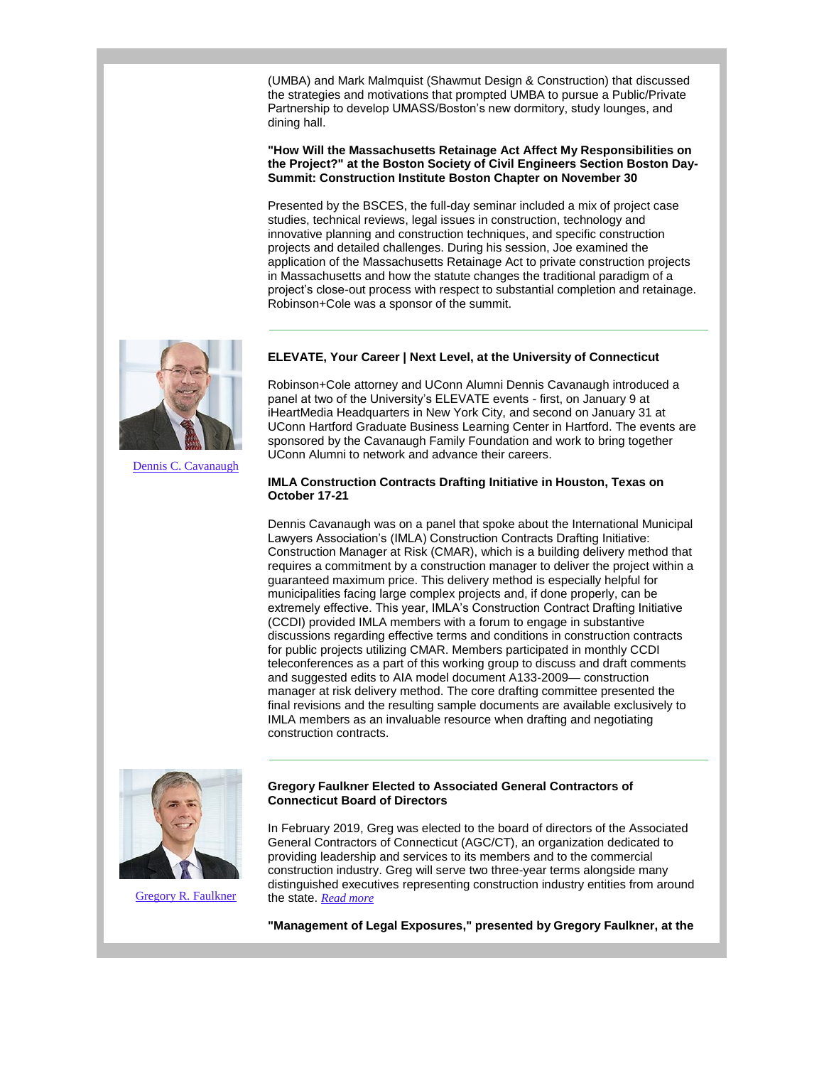(UMBA) and Mark Malmquist (Shawmut Design & Construction) that discussed the strategies and motivations that prompted UMBA to pursue a Public/Private Partnership to develop UMASS/Boston's new dormitory, study lounges, and dining hall.

**"How Will the Massachusetts Retainage Act Affect My Responsibilities on the Project?" at the Boston Society of Civil Engineers Section Boston Day-Summit: Construction Institute Boston Chapter on November 30**

Presented by the BSCES, the full-day seminar included a mix of project case studies, technical reviews, legal issues in construction, technology and innovative planning and construction techniques, and specific construction projects and detailed challenges. During his session, Joe examined the application of the Massachusetts Retainage Act to private construction projects in Massachusetts and how the statute changes the traditional paradigm of a project's close-out process with respect to substantial completion and retainage. Robinson+Cole was a sponsor of the summit.



[Dennis C. Cavanaugh](https://protect-us.mimecast.com/s/uGGWCZ6gKRf5w7N6hNg-Zw?domain=r20.rs6.net)

**ELEVATE, Your Career | Next Level, at the University of Connecticut**

Robinson+Cole attorney and UConn Alumni Dennis Cavanaugh introduced a panel at two of the University's ELEVATE events - first, on January 9 at iHeartMedia Headquarters in New York City, and second on January 31 at UConn Hartford Graduate Business Learning Center in Hartford. The events are sponsored by the Cavanaugh Family Foundation and work to bring together UConn Alumni to network and advance their careers.

**IMLA Construction Contracts Drafting Initiative in Houston, Texas on October 17-21**

Dennis Cavanaugh was on a panel that spoke about the International Municipal Lawyers Association's (IMLA) Construction Contracts Drafting Initiative: Construction Manager at Risk (CMAR), which is a building delivery method that requires a commitment by a construction manager to deliver the project within a guaranteed maximum price. This delivery method is especially helpful for municipalities facing large complex projects and, if done properly, can be extremely effective. This year, IMLA's Construction Contract Drafting Initiative (CCDI) provided IMLA members with a forum to engage in substantive discussions regarding effective terms and conditions in construction contracts for public projects utilizing CMAR. Members participated in monthly CCDI teleconferences as a part of this working group to discuss and draft comments and suggested edits to AIA model document A133-2009— construction manager at risk delivery method. The core drafting committee presented the final revisions and the resulting sample documents are available exclusively to IMLA members as an invaluable resource when drafting and negotiating construction contracts.



[Gregory R. Faulkner](https://protect-us.mimecast.com/s/UEC4C1wMoDHM06Y4hmljY0?domain=r20.rs6.net)

# **Gregory Faulkner Elected to Associated General Contractors of Connecticut Board of Directors**

In February 2019, Greg was elected to the board of directors of the Associated General Contractors of Connecticut (AGC/CT), an organization dedicated to providing leadership and services to its members and to the commercial construction industry. Greg will serve two three-year terms alongside many distinguished executives representing construction industry entities from around the state. *[Read more](https://protect-us.mimecast.com/s/JctEC2kXpECp4VwYTvW6w5?domain=r20.rs6.net)*

**"Management of Legal Exposures," presented by Gregory Faulkner, at the**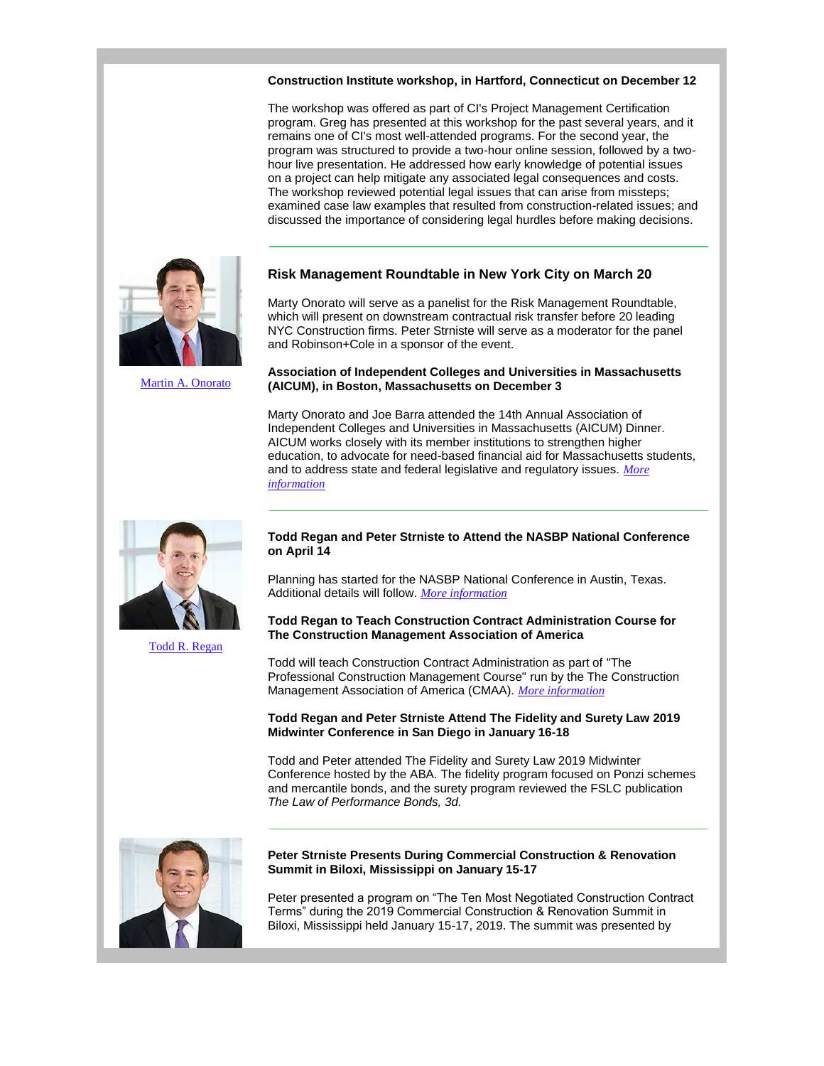## **Construction Institute workshop, in Hartford, Connecticut on December 12**

The workshop was offered as part of CI's Project Management Certification program. Greg has presented at this workshop for the past several years, and it remains one of CI's most well-attended programs. For the second year, the program was structured to provide a two-hour online session, followed by a twohour live presentation. He addressed how early knowledge of potential issues on a project can help mitigate any associated legal consequences and costs. The workshop reviewed potential legal issues that can arise from missteps; examined case law examples that resulted from construction-related issues; and discussed the importance of considering legal hurdles before making decisions.

# **Risk Management Roundtable in New York City on March 20**

Marty Onorato will serve as a panelist for the Risk Management Roundtable, which will present on downstream contractual risk transfer before 20 leading NYC Construction firms. Peter Strniste will serve as a moderator for the panel and Robinson+Cole in a sponsor of the event.

## **Association of Independent Colleges and Universities in Massachusetts (AICUM), in Boston, Massachusetts on December 3**

Marty Onorato and Joe Barra attended the 14th Annual Association of Independent Colleges and Universities in Massachusetts (AICUM) Dinner. AICUM works closely with its member institutions to strengthen higher education, to advocate for need-based financial aid for Massachusetts students, and to address state and federal legislative and regulatory issues. *[More](https://protect-us.mimecast.com/s/ZnUGC4x2rJiBnz1VszxGOq?domain=r20.rs6.net)  [information](https://protect-us.mimecast.com/s/ZnUGC4x2rJiBnz1VszxGOq?domain=r20.rs6.net)*



[Todd R. Regan](https://protect-us.mimecast.com/s/bTtRC5yMvguZzMGJfAfSaW?domain=r20.rs6.net)

# **Todd Regan and Peter Strniste to Attend the NASBP National Conference on April 14**

Planning has started for the NASBP National Conference in Austin, Texas. Additional details will follow. *[More information](https://protect-us.mimecast.com/s/rIYsC68MwjHrgPKNTD0Eah?domain=r20.rs6.net)*

## **Todd Regan to Teach Construction Contract Administration Course for The Construction Management Association of America**

Todd will teach Construction Contract Administration as part of "The Professional Construction Management Course" run by the The Construction Management Association of America (CMAA). *[More information](https://protect-us.mimecast.com/s/E-IPC73MxkHA0zkgF4NqK_?domain=r20.rs6.net)*

## **Todd Regan and Peter Strniste Attend The Fidelity and Surety Law 2019 Midwinter Conference in San Diego in January 16-18**

Todd and Peter attended The Fidelity and Surety Law 2019 Midwinter Conference hosted by the ABA. The fidelity program focused on Ponzi schemes and mercantile bonds, and the surety program reviewed the FSLC publication *The Law of Performance Bonds, 3d.* 



## **Peter Strniste Presents During Commercial Construction & Renovation Summit in Biloxi, Mississippi on January 15-17**

Peter presented a program on "The Ten Most Negotiated Construction Contract Terms" during the 2019 Commercial Construction & Renovation Summit in Biloxi, Mississippi held January 15-17, 2019. The summit was presented by



[Martin A. Onorato](https://protect-us.mimecast.com/s/eyjCC313qGhpPXQkTj1prN?domain=r20.rs6.net)